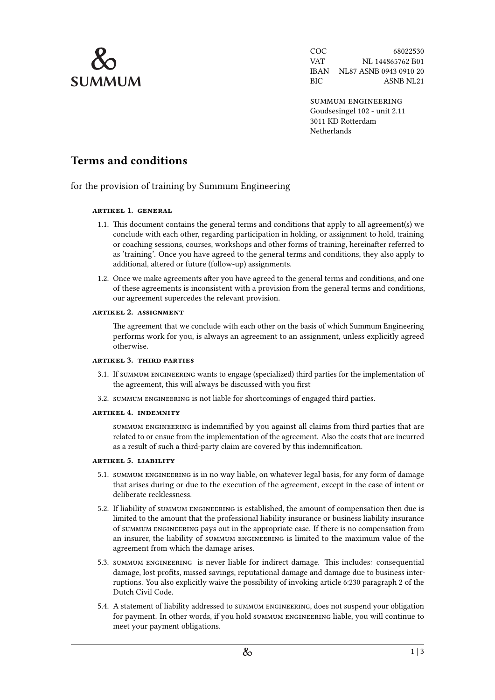

COC 68022530 VAT NL 144865762 B01 IBAN NL87 ASNB 0943 0910 20 BIC ASNB NL21

summum engineering Goudsesingel 102 - unit 2.11 3011 KD Rotterdam **Netherlands** 

# **Terms and conditions**

for the provision of training by Summum Engineering

## **artikel 1. general**

- 1.1. This document contains the general terms and conditions that apply to all agreement(s) we conclude with each other, regarding participation in holding, or assignment to hold, training or coaching sessions, courses, workshops and other forms of training, hereinafter referred to as 'training'. Once you have agreed to the general terms and conditions, they also apply to additional, altered or future (follow-up) assignments.
- 1.2. Once we make agreements after you have agreed to the general terms and conditions, and one of these agreements is inconsistent with a provision from the general terms and conditions, our agreement supercedes the relevant provision.

## **artikel 2. assignment**

The agreement that we conclude with each other on the basis of which Summum Engineering performs work for you, is always an agreement to an assignment, unless explicitly agreed otherwise.

## **artikel 3. third parties**

- 3.1. If summum engineering wants to engage (specialized) third parties for the implementation of the agreement, this will always be discussed with you first
- 3.2. summum engineering is not liable for shortcomings of engaged third parties.

## **artikel 4. indemnity**

summum engineering is indemnified by you against all claims from third parties that are related to or ensue from the implementation of the agreement. Also the costs that are incurred as a result of such a third-party claim are covered by this indemnification.

## **artikel 5. liability**

- 5.1. summum engineering is in no way liable, on whatever legal basis, for any form of damage that arises during or due to the execution of the agreement, except in the case of intent or deliberate recklessness.
- 5.2. If liability of summum engineering is established, the amount of compensation then due is limited to the amount that the professional liability insurance or business liability insurance of summum engineering pays out in the appropriate case. If there is no compensation from an insurer, the liability of summum engineering is limited to the maximum value of the agreement from which the damage arises.
- 5.3. summum engineering is never liable for indirect damage. This includes: consequential damage, lost profits, missed savings, reputational damage and damage due to business interruptions. You also explicitly waive the possibility of invoking article 6:230 paragraph 2 of the Dutch Civil Code.
- 5.4. A statement of liability addressed to summum engineering, does not suspend your obligation for payment. In other words, if you hold summum engineering liable, you will continue to meet your payment obligations.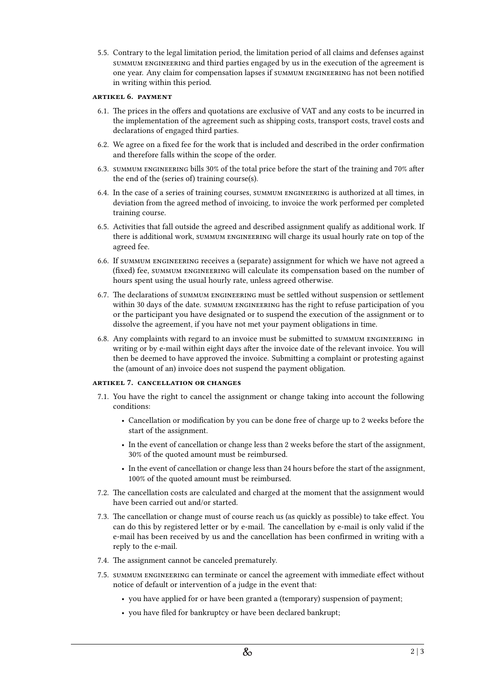5.5. Contrary to the legal limitation period, the limitation period of all claims and defenses against summum engineering and third parties engaged by us in the execution of the agreement is one year. Any claim for compensation lapses if summum engineering has not been notified in writing within this period.

## **artikel 6. payment**

- 6.1. The prices in the offers and quotations are exclusive of VAT and any costs to be incurred in the implementation of the agreement such as shipping costs, transport costs, travel costs and declarations of engaged third parties.
- 6.2. We agree on a fixed fee for the work that is included and described in the order confirmation and therefore falls within the scope of the order.
- 6.3. summum engineering bills 30% of the total price before the start of the training and 70% after the end of the (series of) training course(s).
- 6.4. In the case of a series of training courses, summum engineering is authorized at all times, in deviation from the agreed method of invoicing, to invoice the work performed per completed training course.
- 6.5. Activities that fall outside the agreed and described assignment qualify as additional work. If there is additional work, summum engineering will charge its usual hourly rate on top of the agreed fee.
- 6.6. If summum engineering receives a (separate) assignment for which we have not agreed a (fixed) fee, summum engineering will calculate its compensation based on the number of hours spent using the usual hourly rate, unless agreed otherwise.
- 6.7. The declarations of summum engineering must be settled without suspension or settlement within 30 days of the date. summum engineering has the right to refuse participation of you or the participant you have designated or to suspend the execution of the assignment or to dissolve the agreement, if you have not met your payment obligations in time.
- 6.8. Any complaints with regard to an invoice must be submitted to summum engineering in writing or by e-mail within eight days after the invoice date of the relevant invoice. You will then be deemed to have approved the invoice. Submitting a complaint or protesting against the (amount of an) invoice does not suspend the payment obligation.

## <span id="page-1-0"></span>**artikel 7. cancellation or changes**

- 7.1. You have the right to cancel the assignment or change taking into account the following conditions:
	- Cancellation or modification by you can be done free of charge up to 2 weeks before the start of the assignment.
	- In the event of cancellation or change less than 2 weeks before the start of the assignment, 30% of the quoted amount must be reimbursed.
	- In the event of cancellation or change less than 24 hours before the start of the assignment, 100% of the quoted amount must be reimbursed.
- 7.2. The cancellation costs are calculated and charged at the moment that the assignment would have been carried out and/or started.
- 7.3. The cancellation or change must of course reach us (as quickly as possible) to take effect. You can do this by registered letter or by e-mail. The cancellation by e-mail is only valid if the e-mail has been received by us and the cancellation has been confirmed in writing with a reply to the e-mail.
- 7.4. The assignment cannot be canceled prematurely.
- 7.5. summum engineering can terminate or cancel the agreement with immediate effect without notice of default or intervention of a judge in the event that:
	- you have applied for or have been granted a (temporary) suspension of payment;
	- you have filed for bankruptcy or have been declared bankrupt;